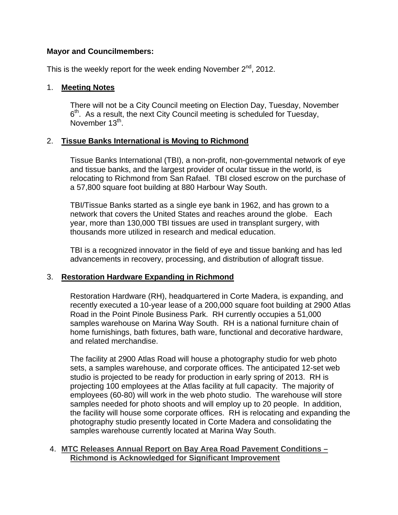#### **Mayor and Councilmembers:**

This is the weekly report for the week ending November  $2^{nd}$ , 2012.

#### 1. **Meeting Notes**

There will not be a City Council meeting on Election Day, Tuesday, November  $6<sup>th</sup>$ . As a result, the next City Council meeting is scheduled for Tuesday, November  $13^{th}$ .

## 2. **Tissue Banks International is Moving to Richmond**

Tissue Banks International (TBI), a non-profit, non-governmental network of eye and tissue banks, and the largest provider of ocular tissue in the world, is relocating to Richmond from San Rafael. TBI closed escrow on the purchase of a 57,800 square foot building at 880 Harbour Way South.

TBI/Tissue Banks started as a single eye bank in 1962, and has grown to a network that covers the United States and reaches around the globe. Each year, more than 130,000 TBI tissues are used in transplant surgery, with thousands more utilized in research and medical education.

TBI is a recognized innovator in the field of eye and tissue banking and has led advancements in recovery, processing, and distribution of allograft tissue.

#### 3. **Restoration Hardware Expanding in Richmond**

Restoration Hardware (RH), headquartered in Corte Madera, is expanding, and recently executed a 10-year lease of a 200,000 square foot building at 2900 Atlas Road in the Point Pinole Business Park. RH currently occupies a 51,000 samples warehouse on Marina Way South. RH is a national furniture chain of home furnishings, bath fixtures, bath ware, functional and decorative hardware, and related merchandise.

The facility at 2900 Atlas Road will house a photography studio for web photo sets, a samples warehouse, and corporate offices. The anticipated 12-set web studio is projected to be ready for production in early spring of 2013. RH is projecting 100 employees at the Atlas facility at full capacity. The majority of employees (60-80) will work in the web photo studio. The warehouse will store samples needed for photo shoots and will employ up to 20 people. In addition, the facility will house some corporate offices. RH is relocating and expanding the photography studio presently located in Corte Madera and consolidating the samples warehouse currently located at Marina Way South.

#### 4. **MTC Releases Annual Report on Bay Area Road Pavement Conditions – Richmond is Acknowledged for Significant Improvement**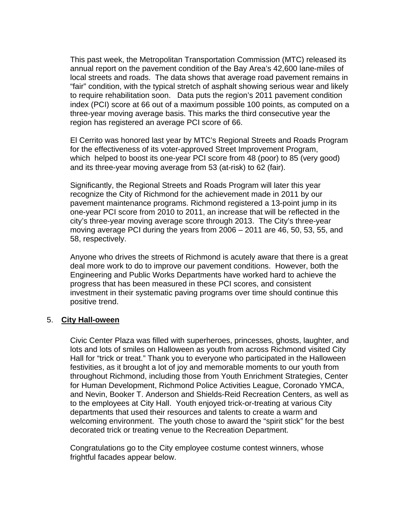This past week, the Metropolitan Transportation Commission (MTC) released its annual report on the pavement condition of the Bay Area's 42,600 lane-miles of local streets and roads. The data shows that average road pavement remains in "fair" condition, with the typical stretch of asphalt showing serious wear and likely to require rehabilitation soon. Data puts the region's 2011 pavement condition index (PCI) score at 66 out of a maximum possible 100 points, as computed on a three-year moving average basis. This marks the third consecutive year the region has registered an average PCI score of 66.

El Cerrito was honored last year by MTC's Regional Streets and Roads Program for the effectiveness of its voter-approved Street Improvement Program, which helped to boost its one-year PCI score from 48 (poor) to 85 (very good) and its three-year moving average from 53 (at-risk) to 62 (fair).

Significantly, the Regional Streets and Roads Program will later this year recognize the City of Richmond for the achievement made in 2011 by our pavement maintenance programs. Richmond registered a 13-point jump in its one-year PCI score from 2010 to 2011, an increase that will be reflected in the city's three-year moving average score through 2013. The City's three-year moving average PCI during the years from 2006 – 2011 are 46, 50, 53, 55, and 58, respectively.

Anyone who drives the streets of Richmond is acutely aware that there is a great deal more work to do to improve our pavement conditions. However, both the Engineering and Public Works Departments have worked hard to achieve the progress that has been measured in these PCI scores, and consistent investment in their systematic paving programs over time should continue this positive trend.

#### 5. **City Hall-oween**

Civic Center Plaza was filled with superheroes, princesses, ghosts, laughter, and lots and lots of smiles on Halloween as youth from across Richmond visited City Hall for "trick or treat." Thank you to everyone who participated in the Halloween festivities, as it brought a lot of joy and memorable moments to our youth from throughout Richmond, including those from Youth Enrichment Strategies, Center for Human Development, Richmond Police Activities League, Coronado YMCA, and Nevin, Booker T. Anderson and Shields-Reid Recreation Centers, as well as to the employees at City Hall. Youth enjoyed trick-or-treating at various City departments that used their resources and talents to create a warm and welcoming environment. The youth chose to award the "spirit stick" for the best decorated trick or treating venue to the Recreation Department.

Congratulations go to the City employee costume contest winners, whose frightful facades appear below.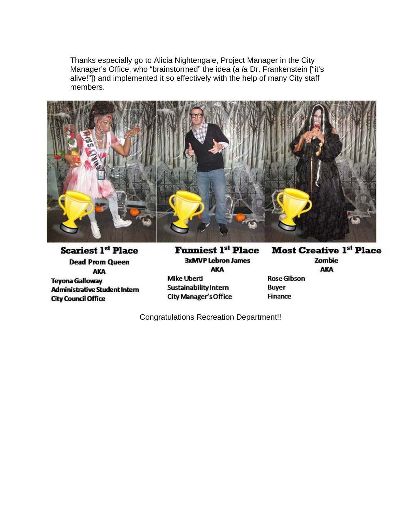Thanks especially go to Alicia Nightengale, Project Manager in the City Manager's Office, who "brainstormed" the idea (*a la* Dr. Frankenstein ["it's alive!"]) and implemented it so effectively with the help of many City staff members.



**Scariest 1st Place Dead Prom Queen** AKA **Teyona Galloway Administrative Student Intern City Council Office** 

**Funniest 1st Place 3xMVP Lebron James AKA Mike Uberti Sustainability Intern** City Manager's Office

**Most Creative 1st Place** Zombie **AKA Rose Gibson** 

**Buyer** Finance

Congratulations Recreation Department!!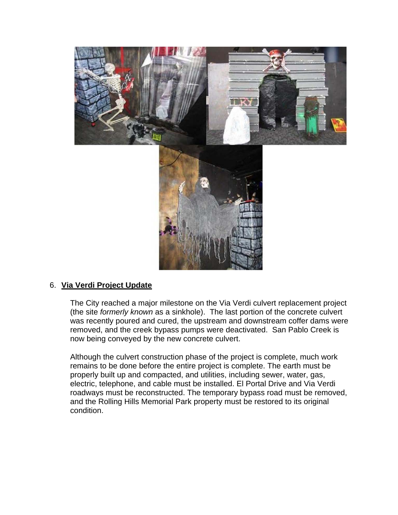

#### 6. **Via Verdi Project Update**

The City reached a major milestone on the Via Verdi culvert replacement project (the site *formerly known* as a sinkhole). The last portion of the concrete culvert was recently poured and cured, the upstream and downstream coffer dams were removed, and the creek bypass pumps were deactivated. San Pablo Creek is now being conveyed by the new concrete culvert.

Although the culvert construction phase of the project is complete, much work remains to be done before the entire project is complete. The earth must be properly built up and compacted, and utilities, including sewer, water, gas, electric, telephone, and cable must be installed. El Portal Drive and Via Verdi roadways must be reconstructed. The temporary bypass road must be removed, and the Rolling Hills Memorial Park property must be restored to its original condition.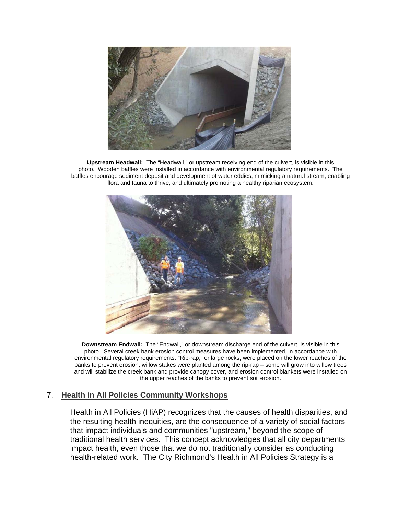

**Upstream Headwall:** The "Headwall," or upstream receiving end of the culvert, is visible in this photo. Wooden baffles were installed in accordance with environmental regulatory requirements. The baffles encourage sediment deposit and development of water eddies, mimicking a natural stream, enabling flora and fauna to thrive, and ultimately promoting a healthy riparian ecosystem.



**Downstream Endwall:** The "Endwall," or downstream discharge end of the culvert, is visible in this photo. Several creek bank erosion control measures have been implemented, in accordance with environmental regulatory requirements. "Rip-rap," or large rocks, were placed on the lower reaches of the banks to prevent erosion, willow stakes were planted among the rip-rap – some will grow into willow trees and will stabilize the creek bank and provide canopy cover, and erosion control blankets were installed on the upper reaches of the banks to prevent soil erosion.

#### 7. **Health in All Policies Community Workshops**

Health in All Policies (HiAP) recognizes that the causes of health disparities, and the resulting health inequities, are the consequence of a variety of social factors that impact individuals and communities "upstream," beyond the scope of traditional health services. This concept acknowledges that all city departments impact health, even those that we do not traditionally consider as conducting health-related work. The City Richmond's Health in All Policies Strategy is a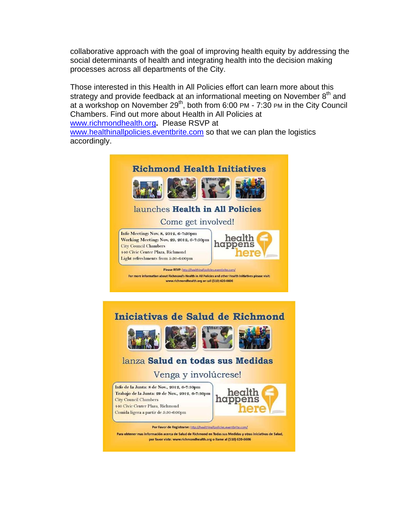collaborative approach with the goal of improving health equity by addressing the social determinants of health and integrating health into the decision making processes across all departments of the City.

Those interested in this Health in All Policies effort can learn more about this strategy and provide feedback at an informational meeting on November  $8<sup>th</sup>$  and at a workshop on November 29<sup>th</sup>, both from 6:00 PM - 7:30 PM in the City Council Chambers. Find out more about Health in All Policies at www.richmondhealth.org**.** Please RSVP at www.healthinallpolicies.eventbrite.com so that we can plan the logistics accordingly.



Trabajo de la Junta: 29 de Nov., 2012, 6-7:30pm **City Council Chambers 440 Civic Center Plaza**, Richmond Comida ligera a partir de 5:30-6:00pm



Por Favor de Registrarse: http://healthinallpolicies.eventbrite.com/ Para obtener mas información acerca de Salud de Richmond en Todas sus Medidas y otras iniciativas de Salud, por favor viste: www.richmondhealth.org o llame al (510) 620-6606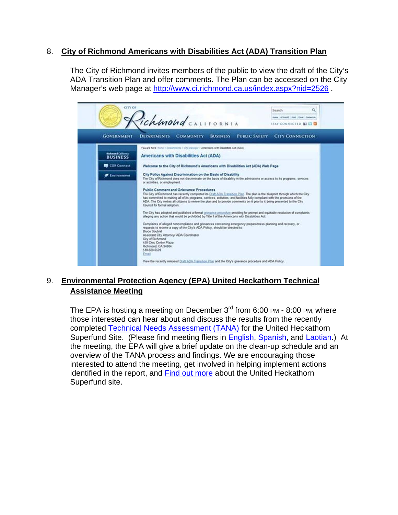### 8. **City of Richmond Americans with Disabilities Act (ADA) Transition Plan**

The City of Richmond invites members of the public to view the draft of the City's ADA Transition Plan and offer comments. The Plan can be accessed on the City Manager's web page at http://www.ci.richmond.ca.us/index.aspx?nid=2526 .



## 9. **Environmental Protection Agency (EPA) United Heckathorn Technical Assistance Meeting**

The EPA is hosting a meeting on December  $3<sup>rd</sup>$  from 6:00 PM - 8:00 PM, where those interested can hear about and discuss the results from the recently completed Technical Needs Assessment (TANA) for the United Heckathorn Superfund Site. (Please find meeting fliers in English, Spanish, and Laotian.) At the meeting, the EPA will give a brief update on the clean-up schedule and an overview of the TANA process and findings. We are encouraging those interested to attend the meeting, get involved in helping implement actions identified in the report, and Find out more about the United Heckathorn Superfund site.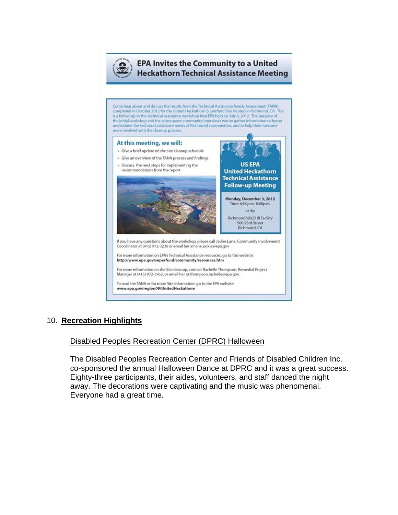

#### **EPA Invites the Community to a United Heckathorn Technical Assistance Meeting**

**US EPA** 

Come hear about and discuss the results from the Technical Assistance Needs Assessment (TANA) completed in October 2012 for the United Heckathorn Superfund Site located in Richmond, CA. This<br>is a follow-up to the technical assistance workshop that EPA held on July 9, 2012. The purpose of<br>the initial workshop and th understand the technical assistance needs of Richmond communities, and to help them become more involved with the cleanup process.

## At this meeting, we will:

- » Give a brief update on the site cleanup schedule
- » Give an overview of the TANA process and findings » Discuss the next steps for implementing the



For more information on the Site cleanup, contact Rachelle Thompson, Remedial Project Manager at (415) 972-3962, or email her at thompson.rachelle@epa.gov.

To read the TANA or for more Site information, go to the EPA website: www.epa.gov/region09/UnitedHeckathorn

## 10. **Recreation Highlights**

## Disabled Peoples Recreation Center (DPRC) Halloween

The Disabled Peoples Recreation Center and Friends of Disabled Children Inc. co-sponsored the annual Halloween Dance at DPRC and it was a great success. Eighty-three participants, their aides, volunteers, and staff danced the night away. The decorations were captivating and the music was phenomenal. Everyone had a great time.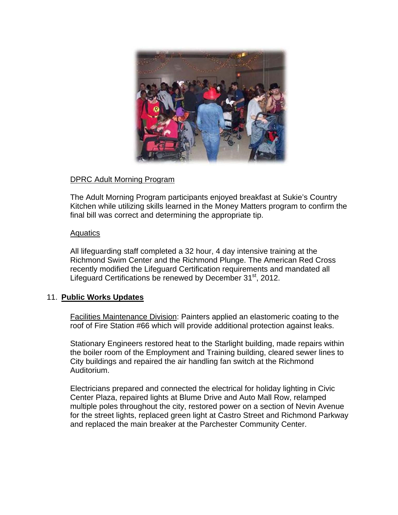

#### DPRC Adult Morning Program

The Adult Morning Program participants enjoyed breakfast at Sukie's Country Kitchen while utilizing skills learned in the Money Matters program to confirm the final bill was correct and determining the appropriate tip.

#### Aquatics

All lifeguarding staff completed a 32 hour, 4 day intensive training at the Richmond Swim Center and the Richmond Plunge. The American Red Cross recently modified the Lifeguard Certification requirements and mandated all Lifeguard Certifications be renewed by December 31<sup>st</sup>, 2012.

#### 11. **Public Works Updates**

Facilities Maintenance Division: Painters applied an elastomeric coating to the roof of Fire Station #66 which will provide additional protection against leaks.

Stationary Engineers restored heat to the Starlight building, made repairs within the boiler room of the Employment and Training building, cleared sewer lines to City buildings and repaired the air handling fan switch at the Richmond Auditorium.

Electricians prepared and connected the electrical for holiday lighting in Civic Center Plaza, repaired lights at Blume Drive and Auto Mall Row, relamped multiple poles throughout the city, restored power on a section of Nevin Avenue for the street lights, replaced green light at Castro Street and Richmond Parkway and replaced the main breaker at the Parchester Community Center.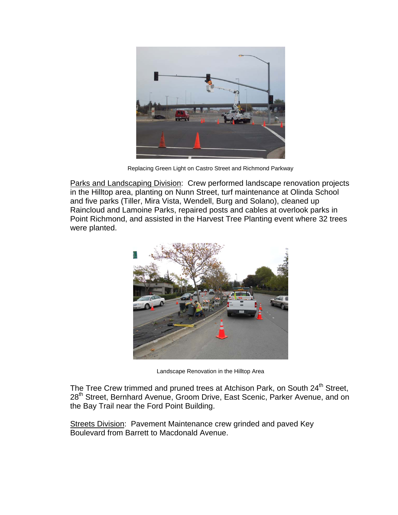

Replacing Green Light on Castro Street and Richmond Parkway

Parks and Landscaping Division: Crew performed landscape renovation projects in the Hilltop area, planting on Nunn Street, turf maintenance at Olinda School and five parks (Tiller, Mira Vista, Wendell, Burg and Solano), cleaned up Raincloud and Lamoine Parks, repaired posts and cables at overlook parks in Point Richmond, and assisted in the Harvest Tree Planting event where 32 trees were planted.



Landscape Renovation in the Hilltop Area

The Tree Crew trimmed and pruned trees at Atchison Park, on South 24<sup>th</sup> Street, 28<sup>th</sup> Street, Bernhard Avenue, Groom Drive, East Scenic, Parker Avenue, and on the Bay Trail near the Ford Point Building.

Streets Division: Pavement Maintenance crew grinded and paved Key Boulevard from Barrett to Macdonald Avenue.